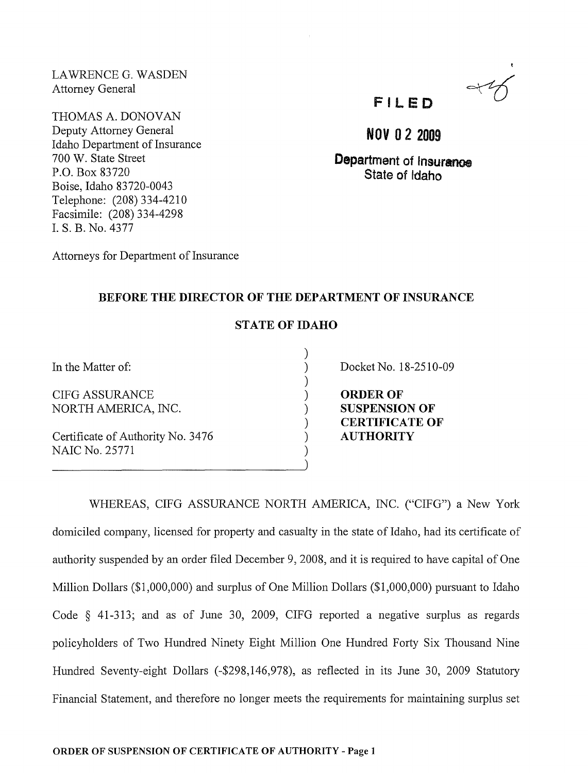LAWRENCE G. WASDEN Attorney General

THOMAS A. DONOVAN Deputy Attorney General Idaho Department of Insurance 700 W. State Street P.O. Box 83720 Boise, Idaho 83720-0043 Telephone: (208) 334-4210 Facsimile: (208) 334-4298 1. S. B. No. 4377



**NOV** 02 2009

Department of Insurance State of Idaho

Attorneys for Department of Insurance

## BEFORE THE DIRECTOR OF THE DEPARTMENT OF INSURANCE

## STATE OF IDAHO

) ) ) ) ) ) ) ) )

In the Matter of:

CIFG ASSURANCE NORTH AMERICA, INC.

Certificate of Authority No. 3476 NAIC No. 25771

Docket No. 18-2510-09

ORDER OF SUSPENSION OF CERTIFICATE OF AUTHORITY

WHEREAS, CIFG ASSURANCE NORTH AMERICA, INC. ("CIFG") a New York domiciled company, licensed for property and casualty in the state of Idaho, had its certificate of authority suspended by an order filed December 9, 2008, and it is required to have capital of One Million Dollars (\$1,000,000) and surplus of One Million Dollars (\$1,000,000) pursuant to Idaho Code § 41-313; and as of June 30, 2009, CIFG reported a negative surplus as regards policyholders of Two Hundred Ninety Eight Million One Hundred Forty Six Thousand Nine Hundred Seventy-eight Dollars (-\$298,146,978), as reflected in its June 30, 2009 Statutory Financial Statement, and therefore no longer meets the requirements for maintaining surplus set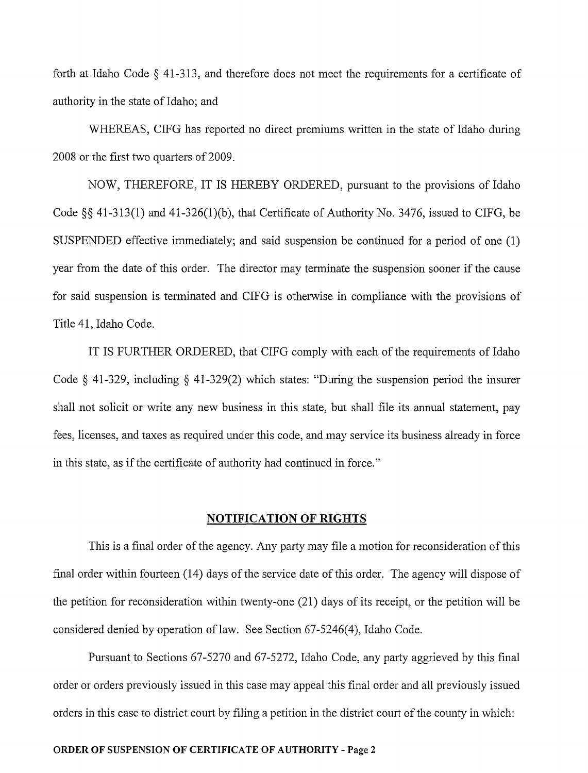forth at Idaho Code  $\S$  41-313, and therefore does not meet the requirements for a certificate of authority in the state of Idaho; and

WHEREAS, CIFG has reported no direct premiums written in the state of Idaho during 2008 or the first two quarters of 2009.

NOW, THEREFORE, IT IS HEREBY ORDERED, pursuant to the provisions of Idaho Code §§ 41-313(1) and 41-326(1)(b), that Certificate of Authority No. 3476, issued to CIFG, be SUSPENDED effective immediately; and said suspension be continued for a period of one (1) year from the date of this order. The director may terminate the suspension sooner if the cause for said suspension is terminated and CIFG is otherwise in compliance with the provisions of Title 41, Idaho Code.

IT IS FURTHER ORDERED, that CIFG comply with each of the requirements of Idaho Code § 41-329, including § 41-329(2) which states: "During the suspension period the insurer shall not solicit or write any new business in this state, but shall file its annual statement, pay fees, licenses, and taxes as required under this code, and may service its business already in force in this state, as if the certificate of authority had continued in force."

## **NOTIFICATION OF RIGHTS**

This is a final order of the agency. Any party may file a motion for reconsideration of this final order within fourteen (14) days of the service date of this order. The agency will dispose of the petition for reconsideration within twenty-one (21) days of its receipt, or the petition will be considered denied by operation of law. See Section 67-5246(4), Idaho Code.

Pursuant to Sections 67-5270 and 67-5272, Idaho Code, any party aggrieved by this final order or orders previously issued in this case may appeal this final order and all previously issued orders in this case to district court by filing a petition in the district court of the county in which: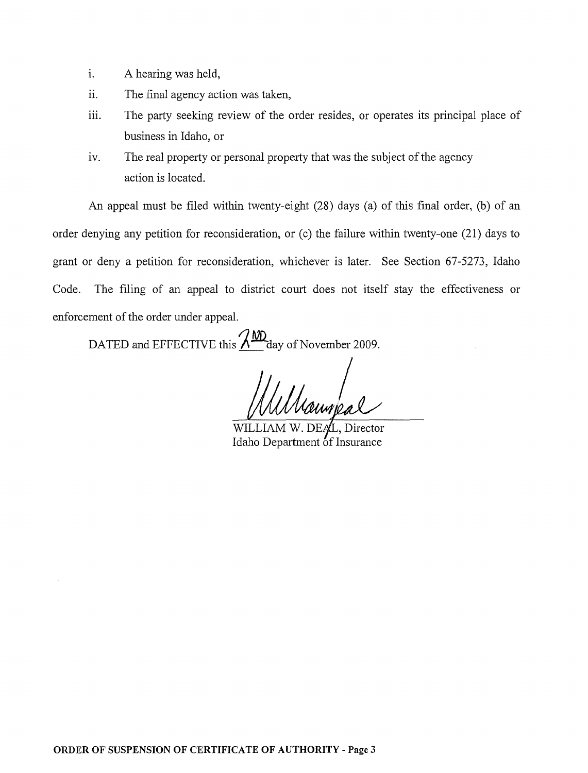- i. A hearing was held,
- ii. The final agency action was taken,
- iii. The party seeking review of the order resides, or operates its principal place of business in Idaho, or
- iv. The real property or personal property that was the subject of the agency action is located.

An appeal must be filed within twenty-eight (28) days (a) of this final order, (b) of an order denying any petition for reconsideration, or (c) the failure within twenty-one (21) days to grant or deny a petition for reconsideration, whichever is later. See Section 67-5273, Idaho Code. The filing of an appeal to district court does not itself stay the effectiveness or enforcement of the order under appeal.

DATED and EFFECTIVE this  $\frac{\lambda \text{MD}}{\lambda}$  day of November 2009.

WILLIAM W. DEAL, Director Idaho Department of Insurance